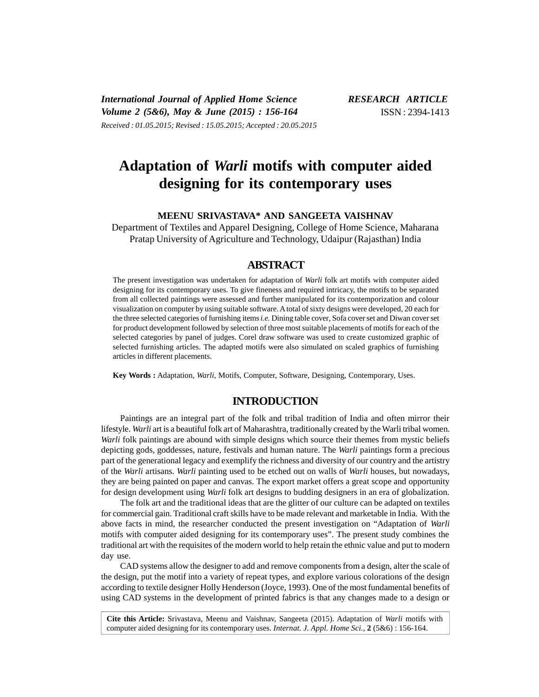*International Journal of Applied Home Science RESEARCH ARTICLE Volume 2 (5&6), May & June (2015) : 156-164* ISSN : 2394-1413 *Received : 01.05.2015; Revised : 15.05.2015; Accepted : 20.05.2015*

# **Adaptation of** *Warli* **motifs with computer aided designing for its contemporary uses**

**MEENU SRIVASTAVA\* AND SANGEETA VAISHNAV**

Department of Textiles and Apparel Designing, College of Home Science, Maharana Pratap University of Agriculture and Technology, Udaipur (Rajasthan) India

## **ABSTRACT**

The present investigation was undertaken for adaptation of *Warli* folk art motifs with computer aided designing for its contemporary uses. To give fineness and required intricacy, the motifs to be separated from all collected paintings were assessed and further manipulated for its contemporization and colour visualization on computer by using suitable software. A total of sixty designs were developed, 20 each for the three selected categories of furnishing items*i.e.* Dining table cover, Sofa cover set and Diwan cover set for product development followed by selection of three most suitable placements of motifs for each of the selected categories by panel of judges. Corel draw software was used to create customized graphic of selected furnishing articles. The adapted motifs were also simulated on scaled graphics of furnishing articles in different placements.

**Key Words :** Adaptation, *Warli*, Motifs, Computer, Software, Designing, Contemporary, Uses.

# **INTRODUCTION**

Paintings are an integral part of the folk and tribal tradition of India and often mirror their lifestyle. *Warli* art is a beautiful folk art of Maharashtra, traditionally created by the Warli tribal women. *Warli* folk paintings are abound with simple designs which source their themes from mystic beliefs depicting gods, goddesses, nature, festivals and human nature. The *Warli* paintings form a precious part of the generational legacy and exemplify the richness and diversity of our country and the artistry of the *Warli* artisans. *Warli* painting used to be etched out on walls of *Warli* houses, but nowadays, they are being painted on paper and canvas. The export market offers a great scope and opportunity for design development using *Warli* folk art designs to budding designers in an era of globalization.

The folk art and the traditional ideas that are the glitter of our culture can be adapted on textiles for commercial gain. Traditional craft skills have to be made relevant and marketable in India. With the above facts in mind, the researcher conducted the present investigation on "Adaptation of *Warli* motifs with computer aided designing for its contemporary uses". The present study combines the traditional art with the requisites of the modern world to help retain the ethnic value and put to modern day use.

CAD systems allow the designer to add and remove components from a design, alter the scale of the design, put the motif into a variety of repeat types, and explore various colorations of the design according to textile designer Holly Henderson (Joyce, 1993). One of the most fundamental benefits of using CAD systems in the development of printed fabrics is that any changes made to a design or

**Cite this Article:** Srivastava, Meenu and Vaishnav, Sangeeta (2015). Adaptation of *Warli* motifs with computer aided designing for its contemporary uses. *Internat. J. Appl. Home Sci.,* **2** (5&6) : 156-164.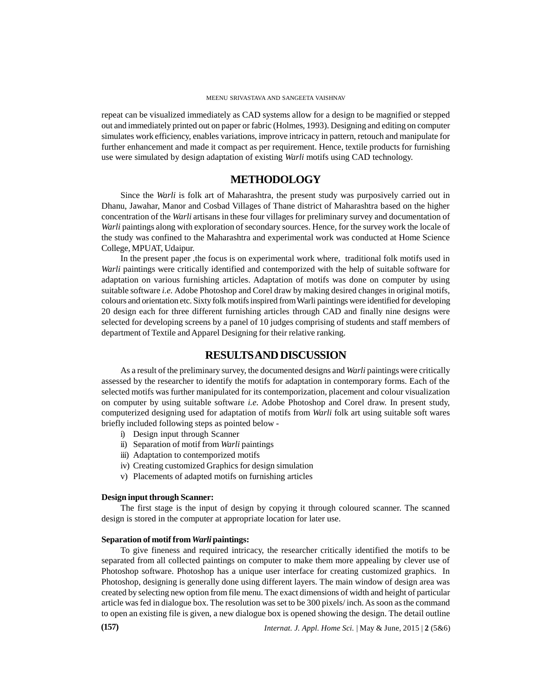repeat can be visualized immediately as CAD systems allow for a design to be magnified or stepped out and immediately printed out on paper or fabric (Holmes, 1993). Designing and editing on computer simulates work efficiency, enables variations, improve intricacy in pattern, retouch and manipulate for further enhancement and made it compact as per requirement. Hence, textile products for furnishing use were simulated by design adaptation of existing *Warli* motifs using CAD technology.

## **METHODOLOGY**

Since the *Warli* is folk art of Maharashtra, the present study was purposively carried out in Dhanu, Jawahar, Manor and Cosbad Villages of Thane district of Maharashtra based on the higher concentration of the *Warli* artisans in these four villages for preliminary survey and documentation of *Warli* paintings along with exploration of secondary sources. Hence, for the survey work the locale of the study was confined to the Maharashtra and experimental work was conducted at Home Science College, MPUAT, Udaipur.

In the present paper ,the focus is on experimental work where, traditional folk motifs used in *Warli* paintings were critically identified and contemporized with the help of suitable software for adaptation on various furnishing articles. Adaptation of motifs was done on computer by using suitable software *i.e.*Adobe Photoshop and Corel draw by making desired changes in original motifs, colours and orientation etc. Sixty folk motifs inspired from Warli paintings were identified for developing 20 design each for three different furnishing articles through CAD and finally nine designs were selected for developing screens by a panel of 10 judges comprising of students and staff members of department of Textile and Apparel Designing for their relative ranking.

## **RESULTSAND DISCUSSION**

As a result of the preliminary survey, the documented designs and *Warli* paintings were critically assessed by the researcher to identify the motifs for adaptation in contemporary forms. Each of the selected motifs was further manipulated for its contemporization, placement and colour visualization on computer by using suitable software *i.e.* Adobe Photoshop and Corel draw. In present study, computerized designing used for adaptation of motifs from *Warli* folk art using suitable soft wares briefly included following steps as pointed below -

- i) Design input through Scanner
- ii) Separation of motif from *Warli* paintings
- iii) Adaptation to contemporized motifs
- iv) Creating customized Graphics for design simulation
- v) Placements of adapted motifs on furnishing articles

### **Design input through Scanner:**

The first stage is the input of design by copying it through coloured scanner. The scanned design is stored in the computer at appropriate location for later use.

### **Separation of motif from***Warli* **paintings:**

To give fineness and required intricacy, the researcher critically identified the motifs to be separated from all collected paintings on computer to make them more appealing by clever use of Photoshop software. Photoshop has a unique user interface for creating customized graphics. In Photoshop, designing is generally done using different layers. The main window of design area was created by selecting new option from file menu. The exact dimensions of width and height of particular article was fed in dialogue box. The resolution was set to be 300 pixels/ inch. As soon as the command to open an existing file is given, a new dialogue box is opened showing the design. The detail outline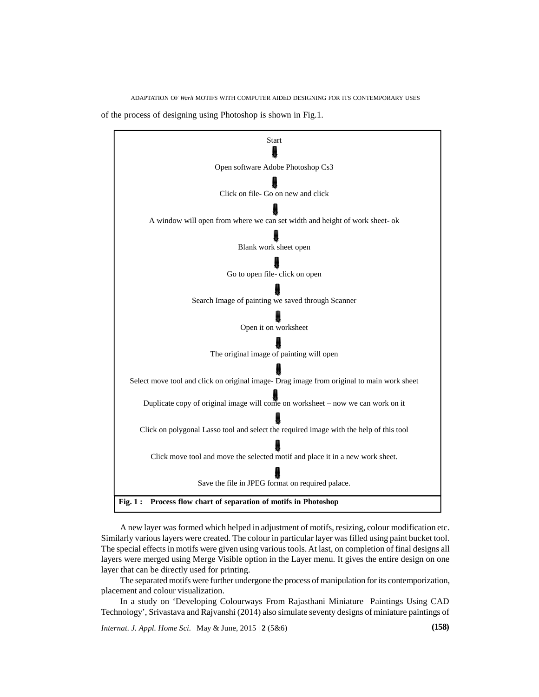ADAPTATION OF *Warli* MOTIFS WITH COMPUTER AIDED DESIGNING FOR ITS CONTEMPORARY USES

of the process of designing using Photoshop is shown in Fig.1.



A new layer was formed which helped in adjustment of motifs, resizing, colour modification etc. Similarly various layers were created. The colour in particular layer was filled using paint bucket tool. The special effects in motifs were given using various tools. At last, on completion of final designs all layers were merged using Merge Visible option in the Layer menu. It gives the entire design on one layer that can be directly used for printing.

The separated motifs were further undergone the process of manipulation for its contemporization, placement and colour visualization.

In a study on 'Developing Colourways From Rajasthani Miniature Paintings Using CAD Technology', Srivastava and Rajvanshi (2014) also simulate seventy designs of miniature paintings of

*Internat. J. Appl. Home Sci.* | May & June, 2015 | **2** (5&6) **(158)**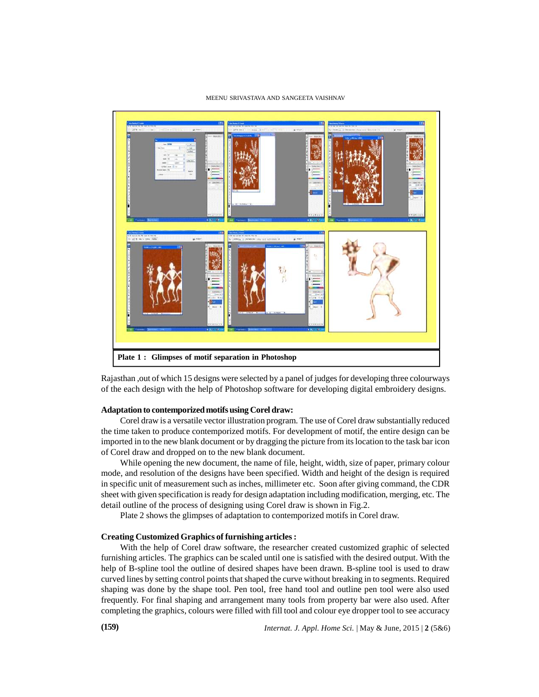#### MEENU SRIVASTAVA AND SANGEETA VAISHNAV



Rajasthan ,out of which 15 designs were selected by a panel of judges for developing three colourways of the each design with the help of Photoshop software for developing digital embroidery designs.

#### **Adaptation to contemporized motifs using Corel draw:**

Corel draw is a versatile vector illustration program. The use of Corel draw substantially reduced the time taken to produce contemporized motifs. For development of motif, the entire design can be imported in to the new blank document or by dragging the picture from its location to the task bar icon of Corel draw and dropped on to the new blank document.

While opening the new document, the name of file, height, width, size of paper, primary colour mode, and resolution of the designs have been specified. Width and height of the design is required in specific unit of measurement such as inches, millimeter etc. Soon after giving command, the CDR sheet with given specification is ready for design adaptation including modification, merging, etc. The detail outline of the process of designing using Corel draw is shown in Fig.2.

Plate 2 shows the glimpses of adaptation to contemporized motifs in Corel draw.

#### **Creating Customized Graphics of furnishing articles :**

With the help of Corel draw software, the researcher created customized graphic of selected furnishing articles. The graphics can be scaled until one is satisfied with the desired output. With the help of B-spline tool the outline of desired shapes have been drawn. B-spline tool is used to draw curved lines by setting control points that shaped the curve without breaking in to segments. Required shaping was done by the shape tool. Pen tool, free hand tool and outline pen tool were also used frequently. For final shaping and arrangement many tools from property bar were also used. After completing the graphics, colours were filled with fill tool and colour eye dropper tool to see accuracy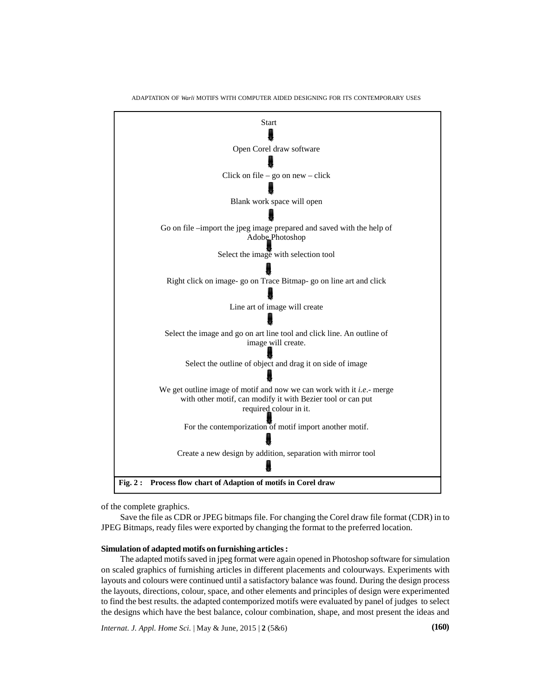

ADAPTATION OF *Warli* MOTIFS WITH COMPUTER AIDED DESIGNING FOR ITS CONTEMPORARY USES

of the complete graphics.

Save the file as CDR or JPEG bitmaps file. For changing the Corel draw file format (CDR) in to JPEG Bitmaps, ready files were exported by changing the format to the preferred location.

#### **Simulation of adapted motifs on furnishing articles :**

The adapted motifs saved in jpeg format were again opened in Photoshop software for simulation on scaled graphics of furnishing articles in different placements and colourways. Experiments with layouts and colours were continued until a satisfactory balance was found. During the design process the layouts, directions, colour, space, and other elements and principles of design were experimented to find the best results. the adapted contemporized motifs were evaluated by panel of judges to select the designs which have the best balance, colour combination, shape, and most present the ideas and

*Internat. J. Appl. Home Sci.* | May & June, 2015 | **2** (5&6) **(160)**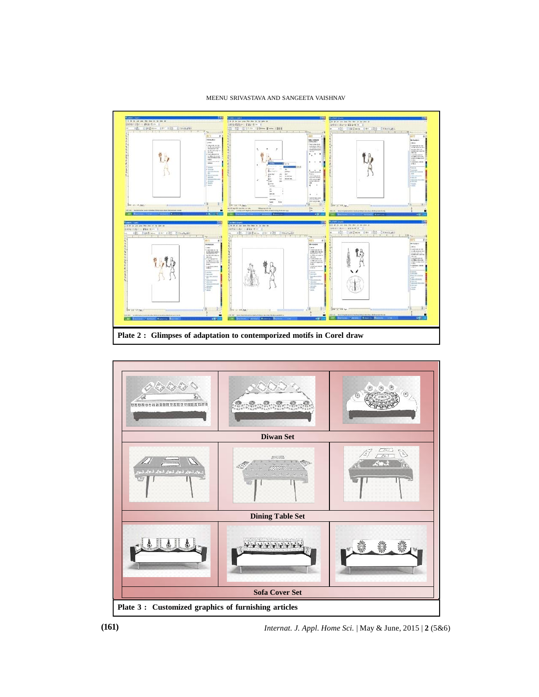## MEENU SRIVASTAVA AND SANGEETA VAISHNAV





**(161)** *Internat. J. Appl. Home Sci.* | May & June, 2015 | **2** (5&6)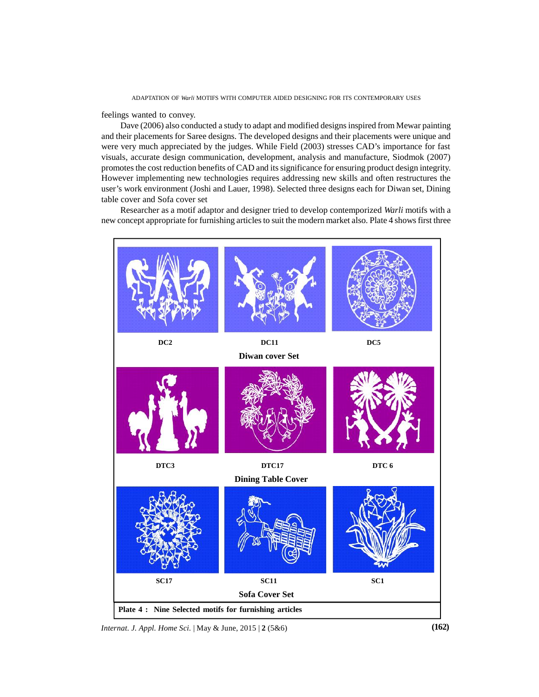feelings wanted to convey.

Dave (2006) also conducted a study to adapt and modified designs inspired from Mewar painting and their placements for Saree designs. The developed designs and their placements were unique and were very much appreciated by the judges. While Field (2003) stresses CAD's importance for fast visuals, accurate design communication, development, analysis and manufacture, Siodmok (2007) promotes the cost reduction benefits of CAD and its significance for ensuring product design integrity. However implementing new technologies requires addressing new skills and often restructures the user's work environment (Joshi and Lauer, 1998). Selected three designs each for Diwan set, Dining table cover and Sofa cover set

Researcher as a motif adaptor and designer tried to develop contemporized *Warli* motifs with a new concept appropriate for furnishing articles to suit the modern market also. Plate 4 shows first three



*Internat. J. Appl. Home Sci.* | May & June, 2015 | **2** (5&6) **(162)**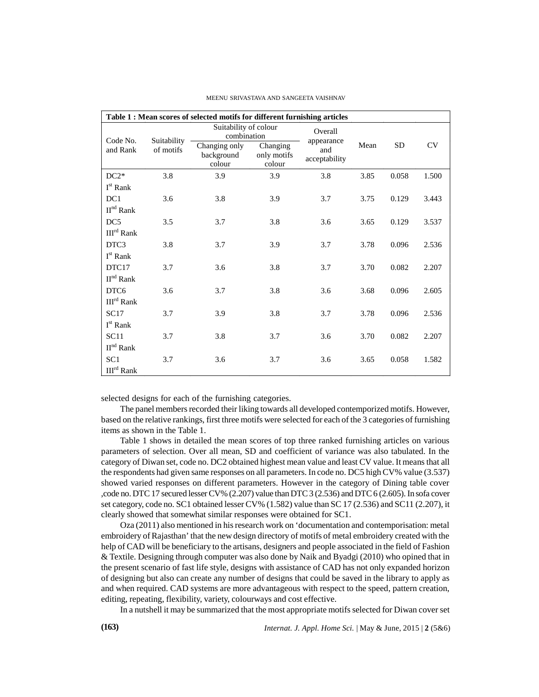| Table 1 : Mean scores of selected motifs for different furnishing articles |                          |                                       |                                   |                       |      |           |           |
|----------------------------------------------------------------------------|--------------------------|---------------------------------------|-----------------------------------|-----------------------|------|-----------|-----------|
| Code No.<br>and Rank                                                       | Suitability<br>of motifs | Suitability of colour<br>combination  |                                   | Overall<br>appearance |      |           |           |
|                                                                            |                          | Changing only<br>background<br>colour | Changing<br>only motifs<br>colour | and<br>acceptability  | Mean | <b>SD</b> | <b>CV</b> |
| $DC2*$                                                                     | 3.8                      | 3.9                                   | 3.9                               | 3.8                   | 3.85 | 0.058     | 1.500     |
| I <sup>st</sup> Rank                                                       |                          |                                       |                                   |                       |      |           |           |
| DC1                                                                        | 3.6                      | 3.8                                   | 3.9                               | 3.7                   | 3.75 | 0.129     | 3.443     |
| $\mathbf{II}^{\text{nd}}$ Rank                                             |                          |                                       |                                   |                       |      |           |           |
| DC <sub>5</sub>                                                            | 3.5                      | 3.7                                   | 3.8                               | 3.6                   | 3.65 | 0.129     | 3.537     |
| III <sup>rd</sup> Rank                                                     |                          |                                       |                                   |                       |      |           |           |
| DTC3                                                                       | 3.8                      | 3.7                                   | 3.9                               | 3.7                   | 3.78 | 0.096     | 2.536     |
| I <sup>st</sup> Rank                                                       |                          |                                       |                                   |                       |      |           |           |
| DTC17                                                                      | 3.7                      | 3.6                                   | 3.8                               | 3.7                   | 3.70 | 0.082     | 2.207     |
| $\mathbf{II}^{\text{nd}}$ Rank                                             |                          |                                       |                                   |                       |      |           |           |
| DTC <sub>6</sub>                                                           | 3.6                      | 3.7                                   | 3.8                               | 3.6                   | 3.68 | 0.096     | 2.605     |
| III <sup>rd</sup> Rank                                                     |                          |                                       |                                   |                       |      |           |           |
| <b>SC17</b>                                                                | 3.7                      | 3.9                                   | 3.8                               | 3.7                   | 3.78 | 0.096     | 2.536     |
| I <sup>st</sup> Rank                                                       |                          |                                       |                                   |                       |      |           |           |
| SC11                                                                       | 3.7                      | 3.8                                   | 3.7                               | 3.6                   | 3.70 | 0.082     | 2.207     |
| II <sup>nd</sup> Rank                                                      |                          |                                       |                                   |                       |      |           |           |
| SC <sub>1</sub>                                                            | 3.7                      | 3.6                                   | 3.7                               | 3.6                   | 3.65 | 0.058     | 1.582     |
| $\mathrm{III}^{\mathrm{rd}}$ Rank                                          |                          |                                       |                                   |                       |      |           |           |

#### MEENU SRIVASTAVA AND SANGEETA VAISHNAV

selected designs for each of the furnishing categories.

The panel members recorded their liking towards all developed contemporized motifs. However, based on the relative rankings, first three motifs were selected for each of the 3 categories of furnishing items as shown in the Table 1.

Table 1 shows in detailed the mean scores of top three ranked furnishing articles on various parameters of selection. Over all mean, SD and coefficient of variance was also tabulated. In the category of Diwan set, code no. DC2 obtained highest mean value and least CV value. It means that all the respondents had given same responses on all parameters. In code no. DC5 high CV% value (3.537) showed varied responses on different parameters. However in the category of Dining table cover ,code no. DTC 17 secured lesser CV% (2.207) value than DTC 3 (2.536) and DTC 6 (2.605). In sofa cover set category, code no. SC1 obtained lesser CV% (1.582) value than SC 17 (2.536) and SC11 (2.207), it clearly showed that somewhat similar responses were obtained for SC1.

Oza (2011) also mentioned in his research work on 'documentation and contemporisation: metal embroidery of Rajasthan' that the new design directory of motifs of metal embroidery created with the help of CAD will be beneficiary to the artisans, designers and people associated in the field of Fashion & Textile. Designing through computer was also done by Naik and Byadgi (2010) who opined that in the present scenario of fast life style, designs with assistance of CAD has not only expanded horizon of designing but also can create any number of designs that could be saved in the library to apply as and when required. CAD systems are more advantageous with respect to the speed, pattern creation, editing, repeating, flexibility, variety, colourways and cost effective.

In a nutshell it may be summarized that the most appropriate motifs selected for Diwan cover set